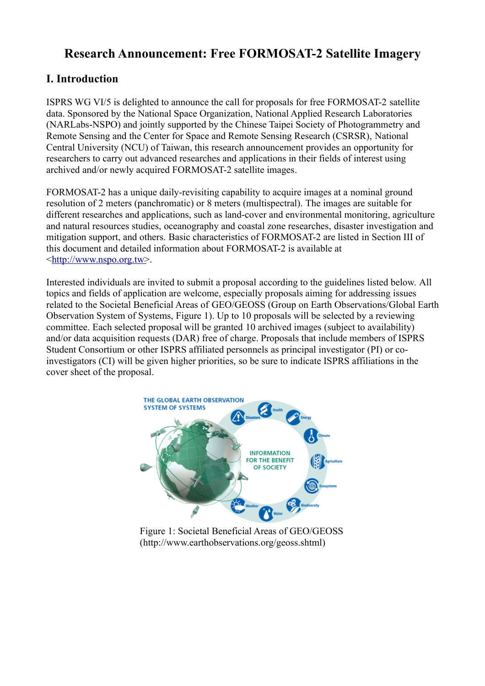## **Research Announcement: Free FORMOSAT-2 Satellite Imagery**

#### **I. Introduction**

ISPRS WG VI/5 is delighted to announce the call for proposals for free FORMOSAT-2 satellite data. Sponsored by the National Space Organization, National Applied Research Laboratories (NARLabs-NSPO) and jointly supported by the Chinese Taipei Society of Photogrammetry and Remote Sensing and the Center for Space and Remote Sensing Research (CSRSR), National Central University (NCU) of Taiwan, this research announcement provides an opportunity for researchers to carry out advanced researches and applications in their fields of interest using archived and/or newly acquired FORMOSAT-2 satellite images.

FORMOSAT-2 has a unique daily-revisiting capability to acquire images at a nominal ground resolution of 2 meters (panchromatic) or 8 meters (multispectral). The images are suitable for different researches and applications, such as land-cover and environmental monitoring, agriculture and natural resources studies, oceanography and coastal zone researches, disaster investigation and mitigation support, and others. Basic characteristics of FORMOSAT-2 are listed in Section III of this document and detailed information about FORMOSAT-2 is available at [< http:// www.nspo.org.tw>](http://www.nspo.org.tw/).

Interested individuals are invited to submit a proposal according to the guidelines listed below. All topics and fields of application are welcome, especially proposals aiming for addressing issues related to the Societal Beneficial Areas of GEO/GEOSS (Group on Earth Observations/Global Earth Observation System of Systems, Figure 1). Up to 10 proposals will be selected by a reviewing committee. Each selected proposal will be granted 10 archived images (subject to availability) and/or data acquisition requests (DAR) free of charge. Proposals that include members of ISPRS Student Consortium or other ISPRS affiliated personnels as principal investigator (PI) or coinvestigators (CI) will be given higher priorities, so be sure to indicate ISPRS affiliations in the cover sheet of the proposal.



Figure 1: Societal Beneficial Areas of GEO/GEOSS (http://www.earthobservations.org/geoss.shtml)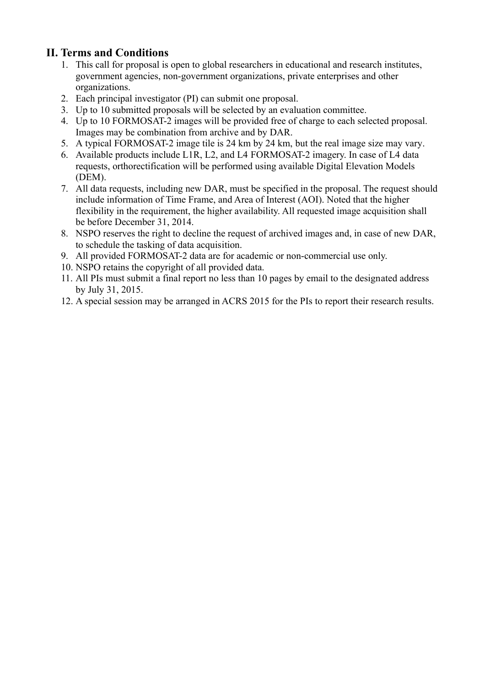### **II. Terms and Conditions**

- 1. This call for proposal is open to global researchers in educational and research institutes, government agencies, non-government organizations, private enterprises and other organizations.
- 2. Each principal investigator (PI) can submit one proposal.
- 3. Up to 10 submitted proposals will be selected by an evaluation committee.
- 4. Up to 10 FORMOSAT-2 images will be provided free of charge to each selected proposal. Images may be combination from archive and by DAR.
- 5. A typical FORMOSAT-2 image tile is 24 km by 24 km, but the real image size may vary.
- 6. Available products include L1R, L2, and L4 FORMOSAT-2 imagery. In case of L4 data requests, orthorectification will be performed using available Digital Elevation Models (DEM).
- 7. All data requests, including new DAR, must be specified in the proposal. The request should include information of Time Frame, and Area of Interest (AOI). Noted that the higher flexibility in the requirement, the higher availability. All requested image acquisition shall be before December 31, 2014.
- 8. NSPO reserves the right to decline the request of archived images and, in case of new DAR, to schedule the tasking of data acquisition.
- 9. All provided FORMOSAT-2 data are for academic or non-commercial use only.
- 10. NSPO retains the copyright of all provided data.
- 11. All PIs must submit a final report no less than 10 pages by email to the designated address by July 31, 2015.
- 12. A special session may be arranged in ACRS 2015 for the PIs to report their research results.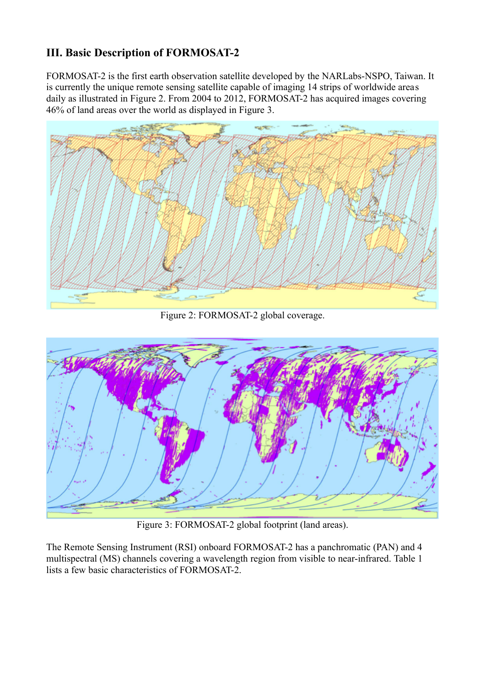## **III. Basic Description of FORMOSAT-2**

FORMOSAT-2 is the first earth observation satellite developed by the NARLabs-NSPO, Taiwan. It is currently the unique remote sensing satellite capable of imaging 14 strips of worldwide areas daily as illustrated in Figure 2. From 2004 to 2012, FORMOSAT-2 has acquired images covering 46% of land areas over the world as displayed in Figure 3.



Figure 2: FORMOSAT-2 global coverage.



Figure 3: FORMOSAT-2 global footprint (land areas).

The Remote Sensing Instrument (RSI) onboard FORMOSAT-2 has a panchromatic (PAN) and 4 multispectral (MS) channels covering a wavelength region from visible to near-infrared. Table 1 lists a few basic characteristics of FORMOSAT-2.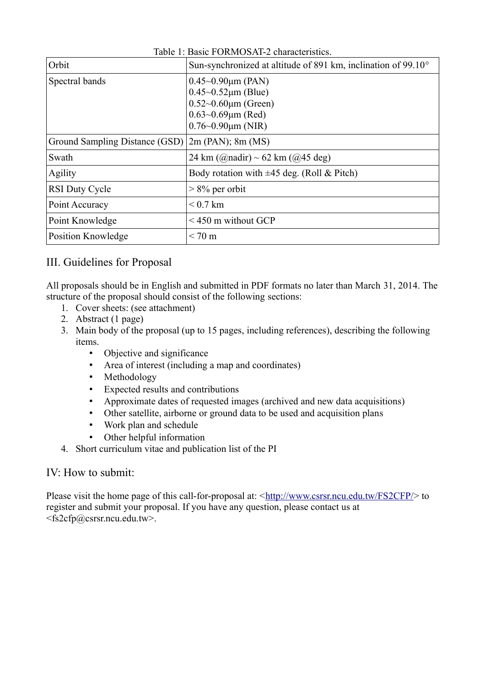| Orbit                          | Sun-synchronized at altitude of 891 km, inclination of 99.10°                                                                                           |  |  |
|--------------------------------|---------------------------------------------------------------------------------------------------------------------------------------------------------|--|--|
| Spectral bands                 | $0.45 \sim 0.90 \mu m$ (PAN)<br>$0.45 \sim 0.52 \mu m$ (Blue)<br>$0.52~0.60 \mu m$ (Green)<br>$0.63 - 0.69 \mu m$ (Red)<br>$0.76 \sim 0.90 \mu m$ (NIR) |  |  |
| Ground Sampling Distance (GSD) | $2m$ (PAN); 8m (MS)                                                                                                                                     |  |  |
| Swath                          | 24 km (@nadir) ~ 62 km (@45 deg)                                                                                                                        |  |  |
| Agility                        | Body rotation with $\pm 45$ deg. (Roll & Pitch)                                                                                                         |  |  |
| <b>RSI Duty Cycle</b>          | $> 8\%$ per orbit                                                                                                                                       |  |  |
| Point Accuracy                 | $< 0.7$ km                                                                                                                                              |  |  |
| Point Knowledge                | $\leq$ 450 m without GCP                                                                                                                                |  |  |
| Position Knowledge             | $< 70 \text{ m}$                                                                                                                                        |  |  |

Table 1: Basic FORMOSAT-2 characteristics.

#### III. Guidelines for Proposal

All proposals should be in English and submitted in PDF formats no later than March 31, 2014. The structure of the proposal should consist of the following sections:

- 1. Cover sheets: (see attachment)
- 2. Abstract (1 page)
- 3. Main body of the proposal (up to 15 pages, including references), describing the following items.
	- Objective and significance
	- Area of interest (including a map and coordinates)
	- Methodology
	- Expected results and contributions
	- Approximate dates of requested images (archived and new data acquisitions)
	- Other satellite, airborne or ground data to be used and acquisition plans
	- Work plan and schedule
	- Other helpful information
- 4. Short curriculum vitae and publication list of the PI

#### IV: How to submit:

Please visit the home page of this call-for-proposal at: [<http://www.csrsr.ncu.edu.tw/FS2CFP/>](http://www.csrsr.ncu.edu.tw/FS2_CFP/) to register and submit your proposal. If you have any question, please contact us at <fs2cfp@csrsr.ncu.edu.tw>.